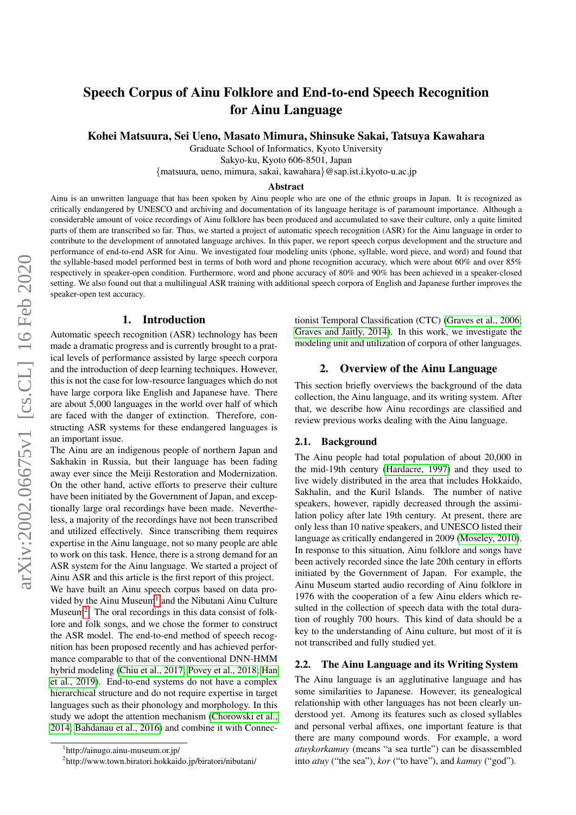# Speech Corpus of Ainu Folklore and End-to-end Speech Recognition for Ainu Language

Kohei Matsuura, Sei Ueno, Masato Mimura, Shinsuke Sakai, Tatsuya Kawahara

Graduate School of Informatics, Kyoto University

Sakyo-ku, Kyoto 606-8501, Japan

{matsuura, ueno, mimura, sakai, kawahara}@sap.ist.i.kyoto-u.ac.jp

#### Abstract

Ainu is an unwritten language that has been spoken by Ainu people who are one of the ethnic groups in Japan. It is recognized as critically endangered by UNESCO and archiving and documentation of its language heritage is of paramount importance. Although a considerable amount of voice recordings of Ainu folklore has been produced and accumulated to save their culture, only a quite limited parts of them are transcribed so far. Thus, we started a project of automatic speech recognition (ASR) for the Ainu language in order to contribute to the development of annotated language archives. In this paper, we report speech corpus development and the structure and performance of end-to-end ASR for Ainu. We investigated four modeling units (phone, syllable, word piece, and word) and found that the syllable-based model performed best in terms of both word and phone recognition accuracy, which were about 60% and over 85% respectively in speaker-open condition. Furthermore, word and phone accuracy of 80% and 90% has been achieved in a speaker-closed setting. We also found out that a multilingual ASR training with additional speech corpora of English and Japanese further improves the speaker-open test accuracy.

#### 1. Introduction

Automatic speech recognition (ASR) technology has been made a dramatic progress and is currently brought to a pratical levels of performance assisted by large speech corpora and the introduction of deep learning techniques. However, this is not the case for low-resource languages which do not have large corpora like English and Japanese have. There are about 5,000 languages in the world over half of which are faced with the danger of extinction. Therefore, constructing ASR systems for these endangered languages is an important issue.

The Ainu are an indigenous people of northern Japan and Sakhakin in Russia, but their language has been fading away ever since the Meiji Restoration and Modernization. On the other hand, active efforts to preserve their culture have been initiated by the Government of Japan, and exceptionally large oral recordings have been made. Nevertheless, a majority of the recordings have not been transcribed and utilized effectively. Since transcribing them requires expertise in the Ainu language, not so many people are able to work on this task. Hence, there is a strong demand for an ASR system for the Ainu language. We started a project of Ainu ASR and this article is the first report of this project. We have built an Ainu speech corpus based on data pro-vided by the Ainu Museum<sup>[1](#page-0-0)</sup> and the Nibutani Ainu Culture Museum<sup>[2](#page-0-1)</sup>. The oral recordings in this data consist of folklore and folk songs, and we chose the former to construct the ASR model. The end-to-end method of speech recognition has been proposed recently and has achieved performance comparable to that of the conventional DNN-HMM hybrid modeling [\(Chiu et al., 2017;](#page-5-0) [Povey et al., 2018;](#page-6-0) [Han](#page-5-1) [et al., 2019\)](#page-5-1). End-to-end systems do not have a complex hierarchical structure and do not require expertise in target tionist Temporal Classification (CTC) [\(Graves et al., 2006;](#page-5-4) [Graves and Jaitly, 2014\)](#page-5-5). In this work, we investigate the modeling unit and utilization of corpora of other languages.

### 2. Overview of the Ainu Language

This section briefly overviews the background of the data collection, the Ainu language, and its writing system. After that, we describe how Ainu recordings are classified and review previous works dealing with the Ainu language.

### 2.1. Background

The Ainu people had total population of about 20,000 in the mid-19th century [\(Hardacre, 1997\)](#page-5-6) and they used to live widely distributed in the area that includes Hokkaido, Sakhalin, and the Kuril Islands. The number of native speakers, however, rapidly decreased through the assimilation policy after late 19th century. At present, there are only less than 10 native speakers, and UNESCO listed their language as critically endangered in 2009 [\(Moseley, 2010\)](#page-6-1). In response to this situation, Ainu folklore and songs have been actively recorded since the late 20th century in efforts initiated by the Government of Japan. For example, the Ainu Museum started audio recording of Ainu folklore in 1976 with the cooperation of a few Ainu elders which resulted in the collection of speech data with the total duration of roughly 700 hours. This kind of data should be a key to the understanding of Ainu culture, but most of it is not transcribed and fully studied yet.

#### 2.2. The Ainu Language and its Writing System

The Ainu language is an agglutinative language and has some similarities to Japanese. However, its genealogical relationship with other languages has not been clearly understood yet. Among its features such as closed syllables and personal verbal affixes, one important feature is that there are many compound words. For example, a word *atuykorkamuy* (means "a sea turtle") can be disassembled into *atuy* ("the sea"), *kor* ("to have"), and *kamuy* ("god").

languages such as their phonology and morphology. In this study we adopt the attention mechanism [\(Chorowski et al.,](#page-5-2) [2014;](#page-5-2) [Bahdanau et al., 2016\)](#page-5-3) and combine it with Connec-

<span id="page-0-0"></span><sup>1</sup> http://ainugo.ainu-museum.or.jp/

<span id="page-0-1"></span><sup>2</sup> http://www.town.biratori.hokkaido.jp/biratori/nibutani/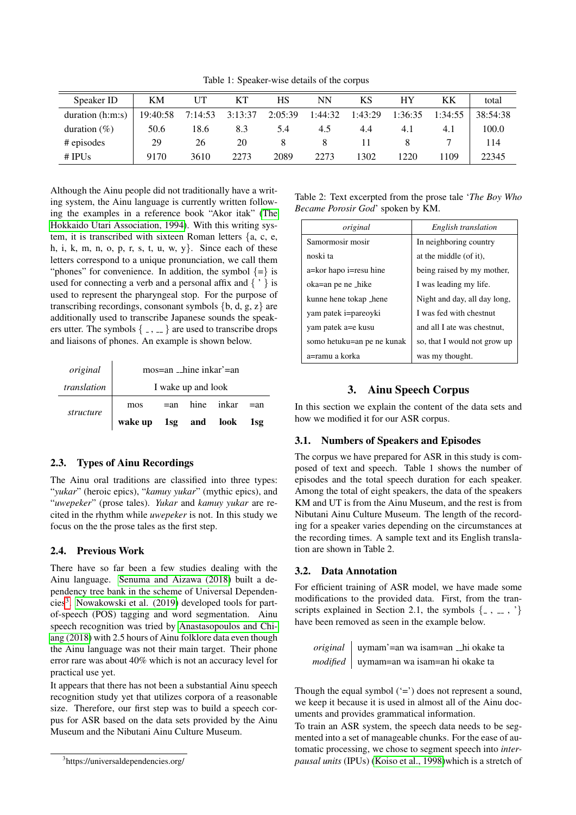Table 1: Speaker-wise details of the corpus

| Speaker ID         | KM       |         | KT      | HS      | NN      | ΚS      | HΥ      | KК      | total    |
|--------------------|----------|---------|---------|---------|---------|---------|---------|---------|----------|
| duration $(h:m:s)$ | 19:40:58 | 7:14:53 | 3:13:37 | 2:05:39 | 1:44:32 | 1:43:29 | 1:36:35 | 1:34:55 | 38:54:38 |
| duration $(\%)$    | 50.6     | 18.6    | 8.3     | 5.4     | 4.5     | 4.4     | 4.1     | 4.1     | 100.0    |
| # episodes         | 29       | 26      | 20      |         |         |         |         |         | 114      |
| # IPUs             | 9170     | 3610    | 2273    | 2089    | 2273    | 1302    | 1220    | 1109    | 22345    |

Although the Ainu people did not traditionally have a writing system, the Ainu language is currently written following the examples in a reference book "Akor itak" [\(The](#page-6-2) [Hokkaido Utari Association, 1994\)](#page-6-2). With this writing system, it is transcribed with sixteen Roman letters {a, c, e, h, i, k, m, n, o, p, r, s, t, u, w, y. Since each of these letters correspond to a unique pronunciation, we call them "phones" for convenience. In addition, the symbol  $\{=\}$  is used for connecting a verb and a personal affix and  $\{ \cdot \}$  is used to represent the pharyngeal stop. For the purpose of transcribing recordings, consonant symbols  $\{b, d, g, z\}$  are additionally used to transcribe Japanese sounds the speakers utter. The symbols  $\{-, \dots\}$  are used to transcribe drops and liaisons of phones. An example is shown below.

| original    | mos=an _hine inkar'=an   |  |  |                          |  |
|-------------|--------------------------|--|--|--------------------------|--|
| translation | I wake up and look       |  |  |                          |  |
| structure   | mos                      |  |  | $=$ an hine inkar $=$ an |  |
|             | wake up 1sg and look 1sg |  |  |                          |  |

# 2.3. Types of Ainu Recordings

The Ainu oral traditions are classified into three types: "*yukar*" (heroic epics), "*kamuy yukar*" (mythic epics), and "*uwepeker*" (prose tales). *Yukar* and *kamuy yukar* are recited in the rhythm while *uwepeker* is not. In this study we focus on the the prose tales as the first step.

### 2.4. Previous Work

There have so far been a few studies dealing with the Ainu language. [Senuma and Aizawa \(2018\)](#page-6-3) built a dependency tree bank in the scheme of Universal Dependen-cies<sup>[3](#page-1-0)</sup>. [Nowakowski et al. \(2019\)](#page-6-4) developed tools for partof-speech (POS) tagging and word segmentation. Ainu speech recognition was tried by [Anastasopoulos and Chi](#page-5-7)[ang \(2018\)](#page-5-7) with 2.5 hours of Ainu folklore data even though the Ainu language was not their main target. Their phone error rare was about 40% which is not an accuracy level for practical use yet.

It appears that there has not been a substantial Ainu speech recognition study yet that utilizes corpora of a reasonable size. Therefore, our first step was to build a speech corpus for ASR based on the data sets provided by the Ainu Museum and the Nibutani Ainu Culture Museum.

Table 2: Text excerpted from the prose tale '*The Boy Who Became Porosir God*' spoken by KM.

| original                   | English translation          |
|----------------------------|------------------------------|
| Samormosir mosir           | In neighboring country       |
| noski ta                   | at the middle (of it),       |
| a=kor hapo i=resu hine     | being raised by my mother,   |
| oka=an pe ne _hike         | I was leading my life.       |
| kunne hene tokap _hene     | Night and day, all day long, |
| yam patek i=pareoyki       | I was fed with chestnut      |
| yam patek a=e kusu         | and all I ate was chestnut,  |
| somo hetuku=an pe ne kunak | so, that I would not grow up |
| a=ramu a korka             | was my thought.              |

# 3. Ainu Speech Corpus

In this section we explain the content of the data sets and how we modified it for our ASR corpus.

### 3.1. Numbers of Speakers and Episodes

The corpus we have prepared for ASR in this study is composed of text and speech. Table 1 shows the number of episodes and the total speech duration for each speaker. Among the total of eight speakers, the data of the speakers KM and UT is from the Ainu Museum, and the rest is from Nibutani Ainu Culture Museum. The length of the recording for a speaker varies depending on the circumstances at the recording times. A sample text and its English translation are shown in Table 2.

### 3.2. Data Annotation

For efficient training of ASR model, we have made some modifications to the provided data. First, from the transcripts explained in Section 2.1, the symbols  $\{ , , , , \}$ have been removed as seen in the example below.

| <i>original</i>   uymam'=an wa isam=an _hi okake ta |
|-----------------------------------------------------|
| <i>modified</i>   uymam=an wa isam=an hi okake ta   |

Though the equal symbol  $(4)$  does not represent a sound, we keep it because it is used in almost all of the Ainu documents and provides grammatical information.

To train an ASR system, the speech data needs to be segmented into a set of manageable chunks. For the ease of automatic processing, we chose to segment speech into *interpausal units* (IPUs) [\(Koiso et al., 1998\)](#page-5-8)which is a stretch of

<span id="page-1-0"></span><sup>3</sup> https://universaldependencies.org/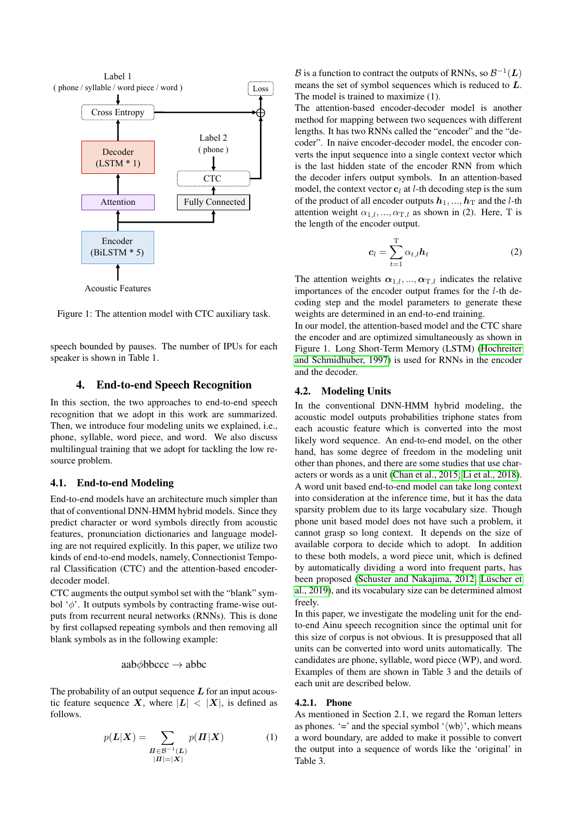

Figure 1: The attention model with CTC auxiliary task.

speech bounded by pauses. The number of IPUs for each speaker is shown in Table 1.

### 4. End-to-end Speech Recognition

In this section, the two approaches to end-to-end speech recognition that we adopt in this work are summarized. Then, we introduce four modeling units we explained, i.e., phone, syllable, word piece, and word. We also discuss multilingual training that we adopt for tackling the low resource problem.

### 4.1. End-to-end Modeling

End-to-end models have an architecture much simpler than that of conventional DNN-HMM hybrid models. Since they predict character or word symbols directly from acoustic features, pronunciation dictionaries and language modeling are not required explicitly. In this paper, we utilize two kinds of end-to-end models, namely, Connectionist Temporal Classification (CTC) and the attention-based encoderdecoder model.

CTC augments the output symbol set with the "blank" symbol ' $\phi$ '. It outputs symbols by contracting frame-wise outputs from recurrent neural networks (RNNs). This is done by first collapsed repeating symbols and then removing all blank symbols as in the following example:

aab $\phi$ bbccc  $\rightarrow$  abbc

The probability of an output sequence  $L$  for an input acoustic feature sequence X, where  $|L| < |X|$ , is defined as follows.

$$
p(L|X) = \sum_{\substack{\Pi \in \mathcal{B}^{-1}(L) \\ |H| = |X|}} p(\Pi|X)
$$
 (1)

 $\overline{\text{Loss}}$  means the set of symbol sequences which is reduced to L. B is a function to contract the outputs of RNNs, so  $\mathcal{B}^{-1}(L)$ The model is trained to maximize (1).

 $CTC$   $\longrightarrow$  the decoder infers output symbols. In an attention-based The attention-based encoder-decoder model is another method for mapping between two sequences with different lengths. It has two RNNs called the "encoder" and the "decoder". In naive encoder-decoder model, the encoder converts the input sequence into a single context vector which is the last hidden state of the encoder RNN from which model, the context vector  $c_l$  at *l*-th decoding step is the sum of the product of all encoder outputs  $h_1, ..., h_T$  and the *l*-th attention weight  $\alpha_{1,l},...,\alpha_{T,l}$  as shown in (2). Here, T is the length of the encoder output.

$$
c_l = \sum_{t=1}^{T} \alpha_{t,l} h_t
$$
 (2)

The attention weights  $\alpha_{1,l},...,\alpha_{T,l}$  indicates the relative importances of the encoder output frames for the l-th decoding step and the model parameters to generate these weights are determined in an end-to-end training.

In our model, the attention-based model and the CTC share the encoder and are optimized simultaneously as shown in Figure 1. Long Short-Term Memory (LSTM) [\(Hochreiter](#page-5-9) [and Schmidhuber, 1997\)](#page-5-9) is used for RNNs in the encoder and the decoder.

### 4.2. Modeling Units

In the conventional DNN-HMM hybrid modeling, the acoustic model outputs probabilities triphone states from each acoustic feature which is converted into the most likely word sequence. An end-to-end model, on the other hand, has some degree of freedom in the modeling unit other than phones, and there are some studies that use characters or words as a unit [\(Chan et al., 2015;](#page-5-10) [Li et al., 2018\)](#page-6-5). A word unit based end-to-end model can take long context into consideration at the inference time, but it has the data sparsity problem due to its large vocabulary size. Though phone unit based model does not have such a problem, it cannot grasp so long context. It depends on the size of available corpora to decide which to adopt. In addition to these both models, a word piece unit, which is defined by automatically dividing a word into frequent parts, has been proposed [\(Schuster and Nakajima, 2012;](#page-6-6) Lüscher et [al., 2019\)](#page-6-7), and its vocabulary size can be determined almost freely.

In this paper, we investigate the modeling unit for the endto-end Ainu speech recognition since the optimal unit for this size of corpus is not obvious. It is presupposed that all units can be converted into word units automatically. The candidates are phone, syllable, word piece (WP), and word. Examples of them are shown in Table 3 and the details of each unit are described below.

#### 4.2.1. Phone

As mentioned in Section 2.1, we regard the Roman letters as phones. '=' and the special symbol ' $\langle \text{wb} \rangle$ ', which means a word boundary, are added to make it possible to convert the output into a sequence of words like the 'original' in Table 3.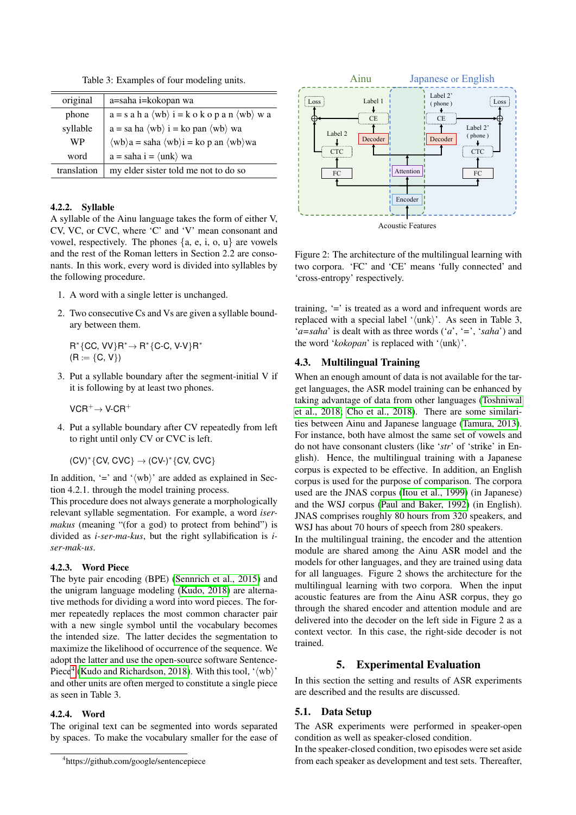Table 3: Examples of four modeling units.

| original    | a=saha i=kokopan wa                                                                                         |
|-------------|-------------------------------------------------------------------------------------------------------------|
| phone       | $a = s$ a h a $\langle wb \rangle$ i = k o k o p a n $\langle wb \rangle$ w a                               |
| syllable    | $a = sa ha \langle wb \rangle$ i = ko pan $\langle wb \rangle$ wa                                           |
| WP          | $\langle wb \rangle a = \text{saha } \langle wb \rangle i = \text{ko } p \text{ an } \langle wb \rangle wa$ |
| word        | $a =$ saha $i = \langle$ unk $\rangle$ wa                                                                   |
| translation | my elder sister told me not to do so                                                                        |

### 4.2.2. Syllable

A syllable of the Ainu language takes the form of either V, CV, VC, or CVC, where 'C' and 'V' mean consonant and vowel, respectively. The phones  $\{a, e, i, o, u\}$  are vowels and the rest of the Roman letters in Section 2.2 are consonants. In this work, every word is divided into syllables by the following procedure.

- 1. A word with a single letter is unchanged.
- 2. Two consecutive Cs and Vs are given a syllable boundary between them.

 $R^*$ {CC, VV} $R^* \rightarrow R^*$ {C-C, V-V} $R^*$  $(R := {C, V})$ 

3. Put a syllable boundary after the segment-initial V if it is following by at least two phones.

 $VCR^+\rightarrow V\text{-}CR^+$ 

4. Put a syllable boundary after CV repeatedly from left to right until only CV or CVC is left.

 $(CV)^*$ {CV, CVC}  $\rightarrow$  (CV-)\*{CV, CVC}

In addition, '=' and ' $\langle \text{wb} \rangle$ ' are added as explained in Section 4.2.1. through the model training process.

This procedure does not always generate a morphologically relevant syllable segmentation. For example, a word *isermakus* (meaning "(for a god) to protect from behind") is divided as *i-ser-ma-kus*, but the right syllabification is *iser-mak-us*.

#### 4.2.3. Word Piece

The byte pair encoding (BPE) [\(Sennrich et al., 2015\)](#page-6-8) and the unigram language modeling [\(Kudo, 2018\)](#page-6-9) are alternative methods for dividing a word into word pieces. The former repeatedly replaces the most common character pair with a new single symbol until the vocabulary becomes the intended size. The latter decides the segmentation to maximize the likelihood of occurrence of the sequence. We adopt the latter and use the open-source software Sentence-Piece<sup>[4](#page-3-0)</sup> [\(Kudo and Richardson, 2018\)](#page-6-10). With this tool, ' $\langle \text{wb} \rangle$ ' and other units are often merged to constitute a single piece as seen in Table 3.

### 4.2.4. Word

The original text can be segmented into words separated by spaces. To make the vocabulary smaller for the ease of



Figure 2: The architecture of the multilingual learning with two corpora. 'FC' and 'CE' means 'fully connected' and 'cross-entropy' respectively.

training, '=' is treated as a word and infrequent words are replaced with a special label ' $\langle \text{unk} \rangle$ '. As seen in Table 3, '*a=saha*' is dealt with as three words ('*a*', '*=*', '*saha*') and the word ' $kokopan$ ' is replaced with ' $\langle \text{unk} \rangle$ '.

### 4.3. Multilingual Training

When an enough amount of data is not available for the target languages, the ASR model training can be enhanced by taking advantage of data from other languages [\(Toshniwal](#page-6-11) [et al., 2018;](#page-6-11) [Cho et al., 2018\)](#page-5-11). There are some similarities between Ainu and Japanese language [\(Tamura, 2013\)](#page-6-12). For instance, both have almost the same set of vowels and do not have consonant clusters (like '*str*' of 'strike' in English). Hence, the multilingual training with a Japanese corpus is expected to be effective. In addition, an English corpus is used for the purpose of comparison. The corpora used are the JNAS corpus [\(Itou et al., 1999\)](#page-5-12) (in Japanese) and the WSJ corpus [\(Paul and Baker, 1992\)](#page-6-13) (in English). JNAS comprises roughly 80 hours from 320 speakers, and WSJ has about 70 hours of speech from 280 speakers.

In the multilingual training, the encoder and the attention module are shared among the Ainu ASR model and the models for other languages, and they are trained using data for all languages. Figure 2 shows the architecture for the multilingual learning with two corpora. When the input acoustic features are from the Ainu ASR corpus, they go through the shared encoder and attention module and are delivered into the decoder on the left side in Figure 2 as a context vector. In this case, the right-side decoder is not trained.

### 5. Experimental Evaluation

In this section the setting and results of ASR experiments are described and the results are discussed.

### 5.1. Data Setup

The ASR experiments were performed in speaker-open condition as well as speaker-closed condition.

In the speaker-closed condition, two episodes were set aside from each speaker as development and test sets. Thereafter,

<span id="page-3-0"></span><sup>4</sup> https://github.com/google/sentencepiece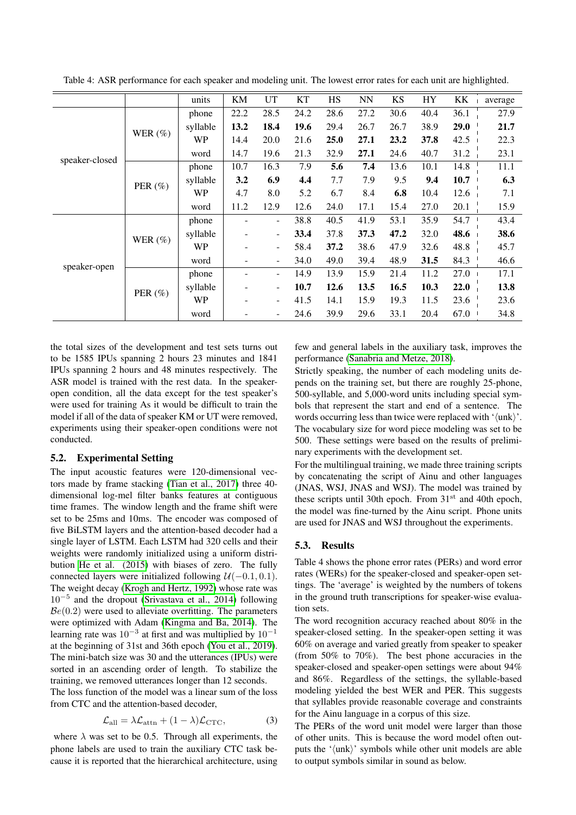|                |             | units     | KM                       | UT                       | <b>KT</b> | HS   | <b>NN</b> | <b>KS</b> | <b>HY</b> | KK   | average |
|----------------|-------------|-----------|--------------------------|--------------------------|-----------|------|-----------|-----------|-----------|------|---------|
|                |             | phone     | 22.2                     | 28.5                     | 24.2      | 28.6 | 27.2      | 30.6      | 40.4      | 36.1 | 27.9    |
|                | WER $(\%)$  | syllable  | 13.2                     | 18.4                     | 19.6      | 29.4 | 26.7      | 26.7      | 38.9      | 29.0 | 21.7    |
|                |             | <b>WP</b> | 14.4                     | 20.0                     | 21.6      | 25.0 | 27.1      | 23.2      | 37.8      | 42.5 | 22.3    |
| speaker-closed |             | word      | 14.7                     | 19.6                     | 21.3      | 32.9 | 27.1      | 24.6      | 40.7      | 31.2 | 23.1    |
|                |             | phone     | 10.7                     | 16.3                     | 7.9       | 5.6  | 7.4       | 13.6      | 10.1      | 14.8 | 11.1    |
|                | PER $(\% )$ | syllable  | 3.2                      | 6.9                      | 4.4       | 7.7  | 7.9       | 9.5       | 9.4       | 10.7 | 6.3     |
|                |             | WP        | 4.7                      | 8.0                      | 5.2       | 6.7  | 8.4       | 6.8       | 10.4      | 12.6 | 7.1     |
|                |             | word      | 11.2                     | 12.9                     | 12.6      | 24.0 | 17.1      | 15.4      | 27.0      | 20.1 | 15.9    |
| speaker-open   | WER $(\%)$  | phone     |                          | $\overline{\phantom{a}}$ | 38.8      | 40.5 | 41.9      | 53.1      | 35.9      | 54.7 | 43.4    |
|                |             | syllable  |                          | $\overline{\phantom{a}}$ | 33.4      | 37.8 | 37.3      | 47.2      | 32.0      | 48.6 | 38.6    |
|                |             | <b>WP</b> |                          | $\overline{\phantom{a}}$ | 58.4      | 37.2 | 38.6      | 47.9      | 32.6      | 48.8 | 45.7    |
|                |             | word      | $\overline{\phantom{a}}$ | ۰                        | 34.0      | 49.0 | 39.4      | 48.9      | 31.5      | 84.3 | 46.6    |
|                |             | phone     |                          | $\overline{\phantom{0}}$ | 14.9      | 13.9 | 15.9      | 21.4      | 11.2      | 27.0 | 17.1    |
|                | PER $(\% )$ | syllable  |                          | $\overline{\phantom{a}}$ | 10.7      | 12.6 | 13.5      | 16.5      | 10.3      | 22.0 | 13.8    |
|                |             | <b>WP</b> | ٠                        | $\overline{\phantom{a}}$ | 41.5      | 14.1 | 15.9      | 19.3      | 11.5      | 23.6 | 23.6    |
|                |             | word      |                          |                          | 24.6      | 39.9 | 29.6      | 33.1      | 20.4      | 67.0 | 34.8    |

Table 4: ASR performance for each speaker and modeling unit. The lowest error rates for each unit are highlighted.

the total sizes of the development and test sets turns out to be 1585 IPUs spanning 2 hours 23 minutes and 1841 IPUs spanning 2 hours and 48 minutes respectively. The ASR model is trained with the rest data. In the speakeropen condition, all the data except for the test speaker's were used for training As it would be difficult to train the model if all of the data of speaker KM or UT were removed, experiments using their speaker-open conditions were not conducted.

#### 5.2. Experimental Setting

The input acoustic features were 120-dimensional vectors made by frame stacking [\(Tian et al., 2017\)](#page-6-14) three 40 dimensional log-mel filter banks features at contiguous time frames. The window length and the frame shift were set to be 25ms and 10ms. The encoder was composed of five BiLSTM layers and the attention-based decoder had a single layer of LSTM. Each LSTM had 320 cells and their weights were randomly initialized using a uniform distribution [He et al. \(2015\)](#page-5-13) with biases of zero. The fully connected layers were initialized following  $U(-0.1, 0.1)$ . The weight decay [\(Krogh and Hertz, 1992\)](#page-6-15) whose rate was 10<sup>−</sup><sup>5</sup> and the dropout [\(Srivastava et al., 2014\)](#page-6-16) following  $\mathcal{B}e(0.2)$  were used to alleviate overfitting. The parameters were optimized with Adam [\(Kingma and Ba, 2014\)](#page-5-14). The learning rate was  $10^{-3}$  at first and was multiplied by  $10^{-1}$ at the beginning of 31st and 36th epoch [\(You et al., 2019\)](#page-6-17). The mini-batch size was 30 and the utterances (IPUs) were sorted in an ascending order of length. To stabilize the training, we removed utterances longer than 12 seconds.

The loss function of the model was a linear sum of the loss from CTC and the attention-based decoder,

$$
\mathcal{L}_{\text{all}} = \lambda \mathcal{L}_{\text{attn}} + (1 - \lambda) \mathcal{L}_{\text{CTC}},\tag{3}
$$

where  $\lambda$  was set to be 0.5. Through all experiments, the phone labels are used to train the auxiliary CTC task because it is reported that the hierarchical architecture, using few and general labels in the auxiliary task, improves the performance [\(Sanabria and Metze, 2018\)](#page-6-18).

Strictly speaking, the number of each modeling units depends on the training set, but there are roughly 25-phone, 500-syllable, and 5,000-word units including special symbols that represent the start and end of a sentence. The words occurring less than twice were replaced with  $\langle \text{unk} \rangle$ . The vocabulary size for word piece modeling was set to be 500. These settings were based on the results of preliminary experiments with the development set.

For the multilingual training, we made three training scripts by concatenating the script of Ainu and other languages (JNAS, WSJ, JNAS and WSJ). The model was trained by these scripts until 30th epoch. From  $31<sup>st</sup>$  and 40th epoch, the model was fine-turned by the Ainu script. Phone units are used for JNAS and WSJ throughout the experiments.

#### 5.3. Results

Table 4 shows the phone error rates (PERs) and word error rates (WERs) for the speaker-closed and speaker-open settings. The 'average' is weighted by the numbers of tokens in the ground truth transcriptions for speaker-wise evaluation sets.

The word recognition accuracy reached about 80% in the speaker-closed setting. In the speaker-open setting it was 60% on average and varied greatly from speaker to speaker (from 50% to 70%). The best phone accuracies in the speaker-closed and speaker-open settings were about 94% and 86%. Regardless of the settings, the syllable-based modeling yielded the best WER and PER. This suggests that syllables provide reasonable coverage and constraints for the Ainu language in a corpus of this size.

The PERs of the word unit model were larger than those of other units. This is because the word model often outputs the  $\langle \text{unk} \rangle$ ' symbols while other unit models are able to output symbols similar in sound as below.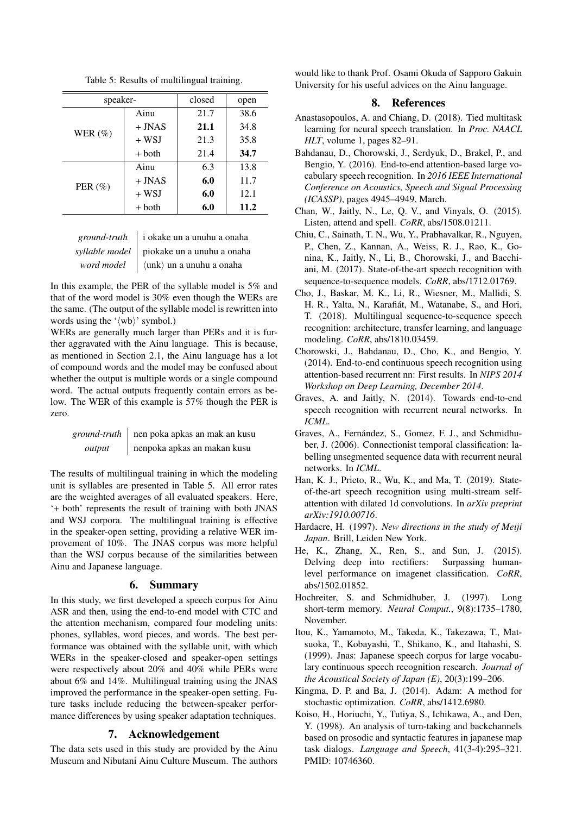Table 5: Results of multilingual training.

| speaker-    |          | closed | open |  |
|-------------|----------|--------|------|--|
|             | Ainu     | 21.7   | 38.6 |  |
| WER $(\% )$ | $+$ JNAS | 21.1   | 34.8 |  |
|             | $+$ WSJ  | 21.3   | 35.8 |  |
|             | $+$ both | 21.4   | 34.7 |  |
|             | Ainu     | 6.3    | 13.8 |  |
| PER $(\% )$ | $+$ JNAS | 6.0    | 11.7 |  |
|             | $+$ WSJ  | 6.0    | 12.1 |  |
|             | $+$ both | 6.0    | 11.2 |  |

| ground-truth $\parallel$ i okake un a unuhu a onaha          |
|--------------------------------------------------------------|
| syllable model   piokake un a unuhu a onaha                  |
| <i>word model</i> $\langle$ unk $\rangle$ un a unuhu a onaha |

In this example, the PER of the syllable model is 5% and that of the word model is 30% even though the WERs are the same. (The output of the syllable model is rewritten into words using the ' $\langle \text{wb} \rangle$ ' symbol.)

WERs are generally much larger than PERs and it is further aggravated with the Ainu language. This is because, as mentioned in Section 2.1, the Ainu language has a lot of compound words and the model may be confused about whether the output is multiple words or a single compound word. The actual outputs frequently contain errors as below. The WER of this example is 57% though the PER is zero.

|        | <i>ground-truth</i>   nen poka apkas an mak an kusu |
|--------|-----------------------------------------------------|
| output | nenpoka apkas an makan kusu                         |

The results of multilingual training in which the modeling unit is syllables are presented in Table 5. All error rates are the weighted averages of all evaluated speakers. Here, '+ both' represents the result of training with both JNAS and WSJ corpora. The multilingual training is effective in the speaker-open setting, providing a relative WER improvement of 10%. The JNAS corpus was more helpful than the WSJ corpus because of the similarities between Ainu and Japanese language.

#### 6. Summary

In this study, we first developed a speech corpus for Ainu ASR and then, using the end-to-end model with CTC and the attention mechanism, compared four modeling units: phones, syllables, word pieces, and words. The best performance was obtained with the syllable unit, with which WERs in the speaker-closed and speaker-open settings were respectively about 20% and 40% while PERs were about 6% and 14%. Multilingual training using the JNAS improved the performance in the speaker-open setting. Future tasks include reducing the between-speaker performance differences by using speaker adaptation techniques.

## 7. Acknowledgement

The data sets used in this study are provided by the Ainu Museum and Nibutani Ainu Culture Museum. The authors

would like to thank Prof. Osami Okuda of Sapporo Gakuin University for his useful advices on the Ainu language.

### 8. References

- <span id="page-5-7"></span>Anastasopoulos, A. and Chiang, D. (2018). Tied multitask learning for neural speech translation. In *Proc. NAACL HLT*, volume 1, pages 82–91.
- <span id="page-5-3"></span>Bahdanau, D., Chorowski, J., Serdyuk, D., Brakel, P., and Bengio, Y. (2016). End-to-end attention-based large vocabulary speech recognition. In *2016 IEEE International Conference on Acoustics, Speech and Signal Processing (ICASSP)*, pages 4945–4949, March.
- <span id="page-5-10"></span>Chan, W., Jaitly, N., Le, Q. V., and Vinyals, O. (2015). Listen, attend and spell. *CoRR*, abs/1508.01211.
- <span id="page-5-0"></span>Chiu, C., Sainath, T. N., Wu, Y., Prabhavalkar, R., Nguyen, P., Chen, Z., Kannan, A., Weiss, R. J., Rao, K., Gonina, K., Jaitly, N., Li, B., Chorowski, J., and Bacchiani, M. (2017). State-of-the-art speech recognition with sequence-to-sequence models. *CoRR*, abs/1712.01769.
- <span id="page-5-11"></span>Cho, J., Baskar, M. K., Li, R., Wiesner, M., Mallidi, S. H. R., Yalta, N., Karafiát, M., Watanabe, S., and Hori, T. (2018). Multilingual sequence-to-sequence speech recognition: architecture, transfer learning, and language modeling. *CoRR*, abs/1810.03459.
- <span id="page-5-2"></span>Chorowski, J., Bahdanau, D., Cho, K., and Bengio, Y. (2014). End-to-end continuous speech recognition using attention-based recurrent nn: First results. In *NIPS 2014 Workshop on Deep Learning, December 2014*.
- <span id="page-5-5"></span>Graves, A. and Jaitly, N. (2014). Towards end-to-end speech recognition with recurrent neural networks. In *ICML*.
- <span id="page-5-4"></span>Graves, A., Fernández, S., Gomez, F. J., and Schmidhuber, J. (2006). Connectionist temporal classification: labelling unsegmented sequence data with recurrent neural networks. In *ICML*.
- <span id="page-5-1"></span>Han, K. J., Prieto, R., Wu, K., and Ma, T. (2019). Stateof-the-art speech recognition using multi-stream selfattention with dilated 1d convolutions. In *arXiv preprint arXiv:1910.00716*.
- <span id="page-5-6"></span>Hardacre, H. (1997). *New directions in the study of Meiji Japan*. Brill, Leiden New York.
- <span id="page-5-13"></span>He, K., Zhang, X., Ren, S., and Sun, J. (2015). Delving deep into rectifiers: Surpassing humanlevel performance on imagenet classification. *CoRR*, abs/1502.01852.
- <span id="page-5-9"></span>Hochreiter, S. and Schmidhuber, J. (1997). Long short-term memory. *Neural Comput.*, 9(8):1735–1780, November.
- <span id="page-5-12"></span>Itou, K., Yamamoto, M., Takeda, K., Takezawa, T., Matsuoka, T., Kobayashi, T., Shikano, K., and Itahashi, S. (1999). Jnas: Japanese speech corpus for large vocabulary continuous speech recognition research. *Journal of the Acoustical Society of Japan (E)*, 20(3):199–206.
- <span id="page-5-14"></span>Kingma, D. P. and Ba, J. (2014). Adam: A method for stochastic optimization. *CoRR*, abs/1412.6980.
- <span id="page-5-8"></span>Koiso, H., Horiuchi, Y., Tutiya, S., Ichikawa, A., and Den, Y. (1998). An analysis of turn-taking and backchannels based on prosodic and syntactic features in japanese map task dialogs. *Language and Speech*, 41(3-4):295–321. PMID: 10746360.